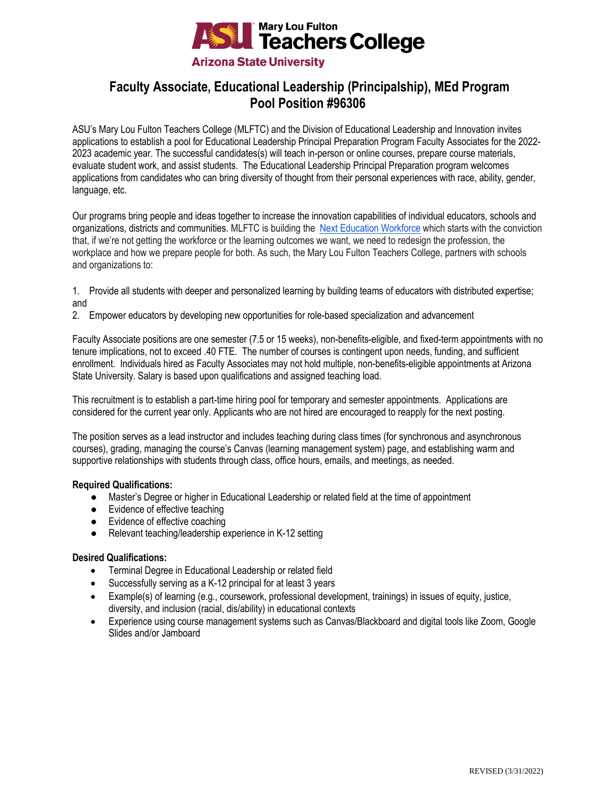

# **Faculty Associate, Educational Leadership (Principalship), MEd Program Pool Position #96306**

ASU's Mary Lou Fulton Teachers College (MLFTC) and the Division of Educational Leadership and Innovation invites applications to establish a pool for Educational Leadership Principal Preparation Program Faculty Associates for the 2022- 2023 academic year. The successful candidates(s) will teach in-person or online courses, prepare course materials, evaluate student work, and assist students. The Educational Leadership Principal Preparation program welcomes applications from candidates who can bring diversity of thought from their personal experiences with race, ability, gender, language, etc.

Our programs bring people and ideas together to increase the innovation capabilities of individual educators, schools and organizations, districts and communities. MLFTC is building the [Next Education Workforce](https://workforce.education.asu.edu/?utm_source=mlftc&utm_medium=redirect&utm_campaign=top_nav) which starts with the conviction that, if we're not getting the workforce or the learning outcomes we want, we need to redesign the profession, the workplace and how we prepare people for both. As such, the Mary Lou Fulton Teachers College, partners with schools and organizations to:

- 1. Provide all students with deeper and personalized learning by building teams of educators with distributed expertise; and
- 2. Empower educators by developing new opportunities for role-based specialization and advancement

Faculty Associate positions are one semester (7.5 or 15 weeks), non-benefits-eligible, and fixed-term appointments with no tenure implications, not to exceed .40 FTE. The number of courses is contingent upon needs, funding, and sufficient enrollment. Individuals hired as Faculty Associates may not hold multiple, non-benefits-eligible appointments at Arizona State University. Salary is based upon qualifications and assigned teaching load.

This recruitment is to establish a part-time hiring pool for temporary and semester appointments. Applications are considered for the current year only. Applicants who are not hired are encouraged to reapply for the next posting.

The position serves as a lead instructor and includes teaching during class times (for synchronous and asynchronous courses), grading, managing the course's Canvas (learning management system) page, and establishing warm and supportive relationships with students through class, office hours, emails, and meetings, as needed.

# **Required Qualifications:**

- Master's Degree or higher in Educational Leadership or related field at the time of appointment
- Evidence of effective teaching
- Evidence of effective coaching
- Relevant teaching/leadership experience in K-12 setting

# **Desired Qualifications:**

- Terminal Degree in Educational Leadership or related field
- Successfully serving as a K-12 principal for at least 3 years
- Example(s) of learning (e.g., coursework, professional development, trainings) in issues of equity, justice, diversity, and inclusion (racial, dis/ability) in educational contexts
- Experience using course management systems such as Canvas/Blackboard and digital tools like Zoom, Google Slides and/or Jamboard